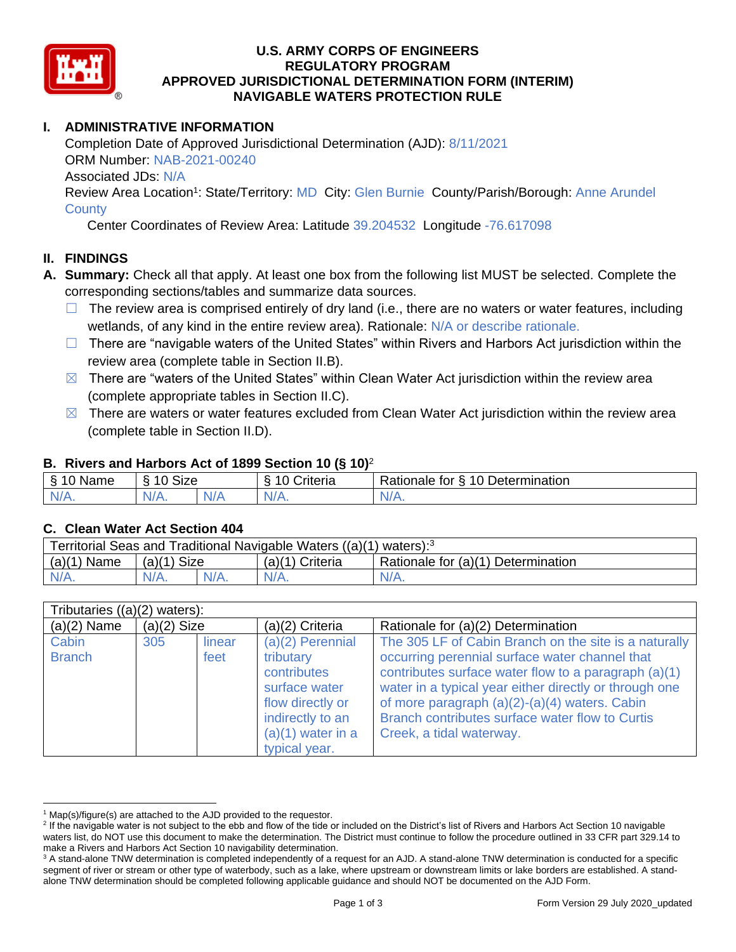

### **U.S. ARMY CORPS OF ENGINEERS REGULATORY PROGRAM APPROVED JURISDICTIONAL DETERMINATION FORM (INTERIM) NAVIGABLE WATERS PROTECTION RULE**

### **I. ADMINISTRATIVE INFORMATION**

Completion Date of Approved Jurisdictional Determination (AJD): 8/11/2021 ORM Number: NAB-2021-00240 Associated JDs: N/A Review Area Location<sup>1</sup>: State/Territory: MD City: Glen Burnie County/Parish/Borough: Anne Arundel

#### **County**

Center Coordinates of Review Area: Latitude 39.204532 Longitude -76.617098

### **II. FINDINGS**

- **A. Summary:** Check all that apply. At least one box from the following list MUST be selected. Complete the corresponding sections/tables and summarize data sources.
	- $\Box$  The review area is comprised entirely of dry land (i.e., there are no waters or water features, including wetlands, of any kind in the entire review area). Rationale: N/A or describe rationale.
	- □ There are "navigable waters of the United States" within Rivers and Harbors Act jurisdiction within the review area (complete table in Section II.B).
	- $\boxtimes$  There are "waters of the United States" within Clean Water Act jurisdiction within the review area (complete appropriate tables in Section II.C).
	- $\boxtimes$  There are waters or water features excluded from Clean Water Act jurisdiction within the review area (complete table in Section II.D).

### **B. Rivers and Harbors Act of 1899 Section 10 (§ 10)**<sup>2</sup>

| Name                | $\sim$<br>$\overline{A}$<br>Size<br>$\overline{\phantom{a}}$ |          | Driteria | 10 Determination<br>Rationale for<br>∼ |
|---------------------|--------------------------------------------------------------|----------|----------|----------------------------------------|
| NI/<br>$\mathbf{v}$ | $N/A$ .                                                      | ND.<br>. | N/f      | ND.<br><b>MII.</b>                     |

#### **C. Clean Water Act Section 404**

| Territorial Seas and Traditional Navigable Waters $((a)(1)$ waters): <sup>3</sup> |               |  |                   |                                    |  |
|-----------------------------------------------------------------------------------|---------------|--|-------------------|------------------------------------|--|
| $(a)(1)$ Name                                                                     | $(a)(1)$ Size |  | $(a)(1)$ Criteria | Rationale for (a)(1) Determination |  |
|                                                                                   | $N/A$ .       |  | $N/A$ .           | $N/A$ .                            |  |

| Tributaries $((a)(2)$ waters): |               |                |                                                                                                                                                 |                                                                                                                                                                                                                                                                                                                                                           |
|--------------------------------|---------------|----------------|-------------------------------------------------------------------------------------------------------------------------------------------------|-----------------------------------------------------------------------------------------------------------------------------------------------------------------------------------------------------------------------------------------------------------------------------------------------------------------------------------------------------------|
| $(a)(2)$ Name                  | $(a)(2)$ Size |                | (a)(2) Criteria                                                                                                                                 | Rationale for (a)(2) Determination                                                                                                                                                                                                                                                                                                                        |
| Cabin<br><b>Branch</b>         | 305           | linear<br>feet | $(a)(2)$ Perennial<br>tributary<br>contributes<br>surface water<br>flow directly or<br>indirectly to an<br>$(a)(1)$ water in a<br>typical year. | The 305 LF of Cabin Branch on the site is a naturally<br>occurring perennial surface water channel that<br>contributes surface water flow to a paragraph (a)(1)<br>water in a typical year either directly or through one<br>of more paragraph (a)(2)-(a)(4) waters. Cabin<br>Branch contributes surface water flow to Curtis<br>Creek, a tidal waterway. |

 $1$  Map(s)/figure(s) are attached to the AJD provided to the requestor.

<sup>&</sup>lt;sup>2</sup> If the navigable water is not subject to the ebb and flow of the tide or included on the District's list of Rivers and Harbors Act Section 10 navigable waters list, do NOT use this document to make the determination. The District must continue to follow the procedure outlined in 33 CFR part 329.14 to make a Rivers and Harbors Act Section 10 navigability determination.

<sup>&</sup>lt;sup>3</sup> A stand-alone TNW determination is completed independently of a request for an AJD. A stand-alone TNW determination is conducted for a specific segment of river or stream or other type of waterbody, such as a lake, where upstream or downstream limits or lake borders are established. A standalone TNW determination should be completed following applicable guidance and should NOT be documented on the AJD Form.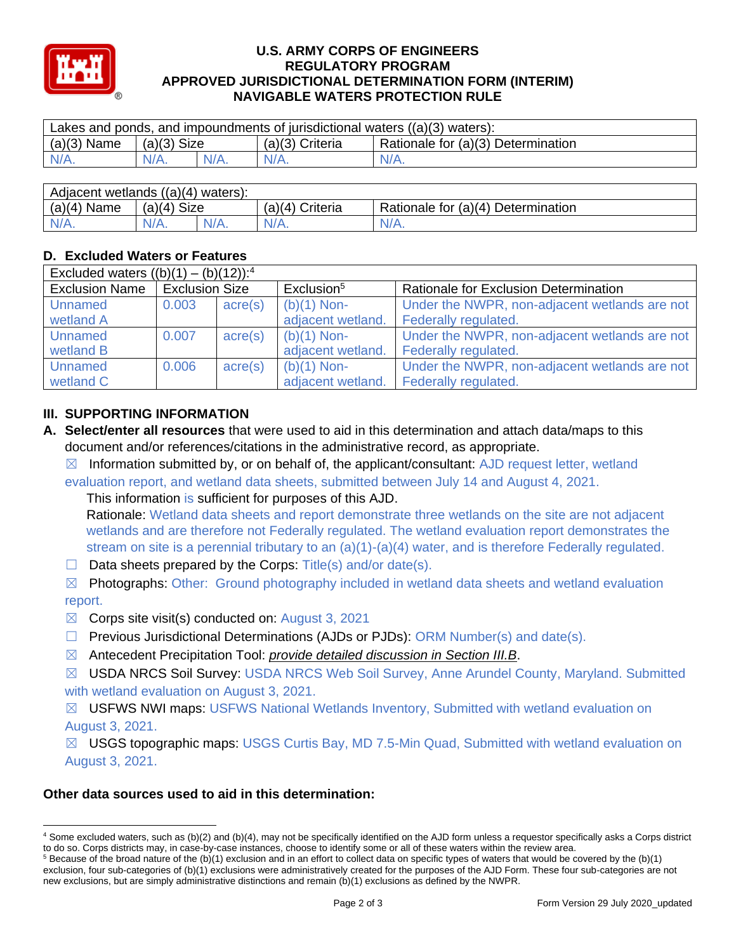

#### **U.S. ARMY CORPS OF ENGINEERS REGULATORY PROGRAM APPROVED JURISDICTIONAL DETERMINATION FORM (INTERIM) NAVIGABLE WATERS PROTECTION RULE**

| $(a)(3)$ Name<br>Rationale for (a)(3) Determination<br>(a)(3) Criteria<br>$(a)(3)$ Size | Lakes and ponds, and impoundments of jurisdictional waters $((a)(3)$ waters): |         |         |         |         |  |
|-----------------------------------------------------------------------------------------|-------------------------------------------------------------------------------|---------|---------|---------|---------|--|
|                                                                                         |                                                                               |         |         |         |         |  |
|                                                                                         | $N/A$ .                                                                       | $N/A$ . | $N/A$ . | $N/A$ . | $N/A$ . |  |

| Adjacent wetlands ((a)(4) waters): |               |  |                 |                                    |  |
|------------------------------------|---------------|--|-----------------|------------------------------------|--|
| $(a)(4)$ Name                      | $(a)(4)$ Size |  | (a)(4) Criteria | Rationale for (a)(4) Determination |  |
| $N/A$ .                            | $N/A$ .       |  | $N/A$ .         | $N/A$ .                            |  |

# **D. Excluded Waters or Features**

| Excluded waters $((b)(1) - (b)(12))$ : <sup>4</sup> |                       |                  |                        |                                               |
|-----------------------------------------------------|-----------------------|------------------|------------------------|-----------------------------------------------|
| <b>Exclusion Name</b>                               | <b>Exclusion Size</b> |                  | Exclusion <sup>5</sup> | <b>Rationale for Exclusion Determination</b>  |
| <b>Unnamed</b>                                      | 0.003                 | $\text{acre}(s)$ | $(b)(1)$ Non-          | Under the NWPR, non-adjacent wetlands are not |
| wetland A                                           |                       |                  | adjacent wetland.      | Federally regulated.                          |
| <b>Unnamed</b>                                      | 0.007                 | $\text{acre}(s)$ | $(b)(1)$ Non-          | Under the NWPR, non-adjacent wetlands are not |
| wetland B                                           |                       |                  | adjacent wetland.      | Federally regulated.                          |
| <b>Unnamed</b>                                      | 0.006                 | $\text{acre}(s)$ | $(b)(1)$ Non-          | Under the NWPR, non-adjacent wetlands are not |
| wetland C                                           |                       |                  | adjacent wetland.      | Federally regulated.                          |

# **III. SUPPORTING INFORMATION**

- **A. Select/enter all resources** that were used to aid in this determination and attach data/maps to this document and/or references/citations in the administrative record, as appropriate.
	- $\boxtimes$  Information submitted by, or on behalf of, the applicant/consultant: AJD request letter, wetland evaluation report, and wetland data sheets, submitted between July 14 and August 4, 2021.

This information is sufficient for purposes of this AJD.

Rationale: Wetland data sheets and report demonstrate three wetlands on the site are not adjacent wetlands and are therefore not Federally regulated. The wetland evaluation report demonstrates the stream on site is a perennial tributary to an  $(a)(1)-(a)(4)$  water, and is therefore Federally regulated.

- $\Box$  Data sheets prepared by the Corps: Title(s) and/or date(s).
- $\boxtimes$  Photographs: Other: Ground photography included in wetland data sheets and wetland evaluation

# report.

- $\boxtimes$  Corps site visit(s) conducted on: August 3, 2021
- ☐ Previous Jurisdictional Determinations (AJDs or PJDs): ORM Number(s) and date(s).
- ☒ Antecedent Precipitation Tool: *provide detailed discussion in Section III.B*.
- ☒ USDA NRCS Soil Survey: USDA NRCS Web Soil Survey, Anne Arundel County, Maryland. Submitted with wetland evaluation on August 3, 2021.
- ☒ USFWS NWI maps: USFWS National Wetlands Inventory, Submitted with wetland evaluation on August 3, 2021.

☒ USGS topographic maps: USGS Curtis Bay, MD 7.5-Min Quad, Submitted with wetland evaluation on August 3, 2021.

# **Other data sources used to aid in this determination:**

<sup>4</sup> Some excluded waters, such as (b)(2) and (b)(4), may not be specifically identified on the AJD form unless a requestor specifically asks a Corps district to do so. Corps districts may, in case-by-case instances, choose to identify some or all of these waters within the review area.

 $5$  Because of the broad nature of the (b)(1) exclusion and in an effort to collect data on specific types of waters that would be covered by the (b)(1) exclusion, four sub-categories of (b)(1) exclusions were administratively created for the purposes of the AJD Form. These four sub-categories are not new exclusions, but are simply administrative distinctions and remain (b)(1) exclusions as defined by the NWPR.